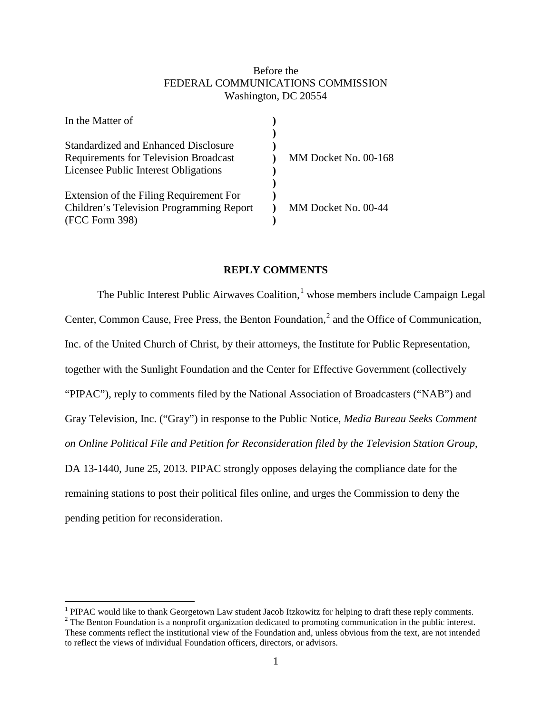# Before the FEDERAL COMMUNICATIONS COMMISSION Washington, DC 20554

| In the Matter of                                |                      |
|-------------------------------------------------|----------------------|
| Standardized and Enhanced Disclosure            |                      |
| <b>Requirements for Television Broadcast</b>    | MM Docket No. 00-168 |
| Licensee Public Interest Obligations            |                      |
|                                                 |                      |
| Extension of the Filing Requirement For         |                      |
| <b>Children's Television Programming Report</b> | MM Docket No. 00-44  |
| (FCC Form 398)                                  |                      |
|                                                 |                      |

## **REPLY COMMENTS**

The Public Interest Public Airwaves Coalition, $<sup>1</sup>$  $<sup>1</sup>$  $<sup>1</sup>$  whose members include Campaign Legal</sup> Center, Common Cause, Free Press, the Benton Foundation, $<sup>2</sup>$  $<sup>2</sup>$  $<sup>2</sup>$  and the Office of Communication,</sup> Inc. of the United Church of Christ, by their attorneys, the Institute for Public Representation, together with the Sunlight Foundation and the Center for Effective Government (collectively "PIPAC"), reply to comments filed by the National Association of Broadcasters ("NAB") and Gray Television, Inc. ("Gray") in response to the Public Notice, *Media Bureau Seeks Comment on Online Political File and Petition for Reconsideration filed by the Television Station Group*, DA 13-1440, June 25, 2013. PIPAC strongly opposes delaying the compliance date for the remaining stations to post their political files online, and urges the Commission to deny the pending petition for reconsideration.

<span id="page-0-0"></span><sup>&</sup>lt;sup>1</sup> PIPAC would like to thank Georgetown Law student Jacob Itzkowitz for helping to draft these reply comments. <sup>2</sup> The Benton Foundation is a nonprofit organization dedicated to promoting communication in the public inte

<span id="page-0-1"></span>These comments reflect the institutional view of the Foundation and, unless obvious from the text, are not intended to reflect the views of individual Foundation officers, directors, or advisors.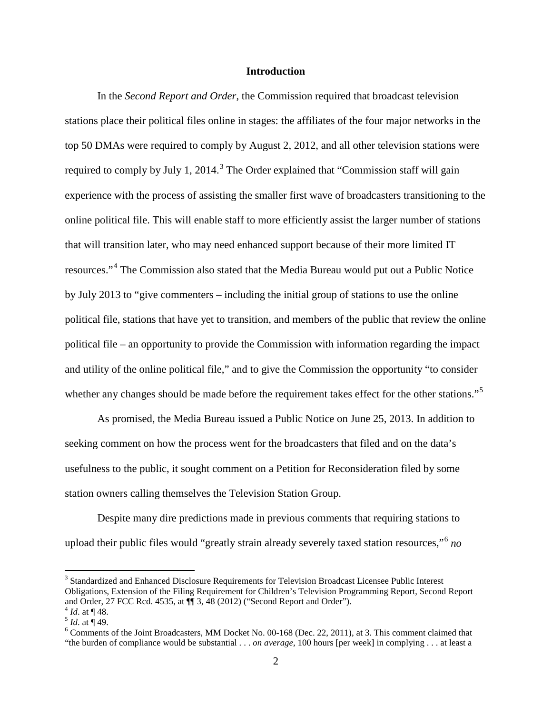## **Introduction**

In the *Second Report and Order*, the Commission required that broadcast television stations place their political files online in stages: the affiliates of the four major networks in the top 50 DMAs were required to comply by August 2, 2012, and all other television stations were required to comply by July 1, 2014.<sup>[3](#page-1-0)</sup> The Order explained that "Commission staff will gain experience with the process of assisting the smaller first wave of broadcasters transitioning to the online political file. This will enable staff to more efficiently assist the larger number of stations that will transition later, who may need enhanced support because of their more limited IT resources."[4](#page-1-1) The Commission also stated that the Media Bureau would put out a Public Notice by July 2013 to "give commenters – including the initial group of stations to use the online political file, stations that have yet to transition, and members of the public that review the online political file – an opportunity to provide the Commission with information regarding the impact and utility of the online political file," and to give the Commission the opportunity "to consider whether any changes should be made before the requirement takes effect for the other stations."<sup>[5](#page-1-2)</sup>

As promised, the Media Bureau issued a Public Notice on June 25, 2013. In addition to seeking comment on how the process went for the broadcasters that filed and on the data's usefulness to the public, it sought comment on a Petition for Reconsideration filed by some station owners calling themselves the Television Station Group.

Despite many dire predictions made in previous comments that requiring stations to upload their public files would "greatly strain already severely taxed station resources,"[6](#page-1-3) *no*

<span id="page-1-0"></span><sup>3</sup> Standardized and Enhanced Disclosure Requirements for Television Broadcast Licensee Public Interest Obligations, Extension of the Filing Requirement for Children's Television Programming Report, Second Report and Order, 27 FCC Rcd. 4535, at  $\P$  3, 48 (2012) ("Second Report and Order").

<span id="page-1-3"></span>

<span id="page-1-2"></span><span id="page-1-1"></span><sup>&</sup>lt;sup>4</sup> *Id.* at ¶ 48.<br>
<sup>5</sup> *Id.* at ¶ 49.<br>
<sup>6</sup> Comments of the Joint Broadcasters, MM Docket No. 00-168 (Dec. 22, 2011), at 3. This comment claimed that <sup>6</sup> "the burden of compliance would be substantial . . . *on average*, 100 hours [per week] in complying . . . at least a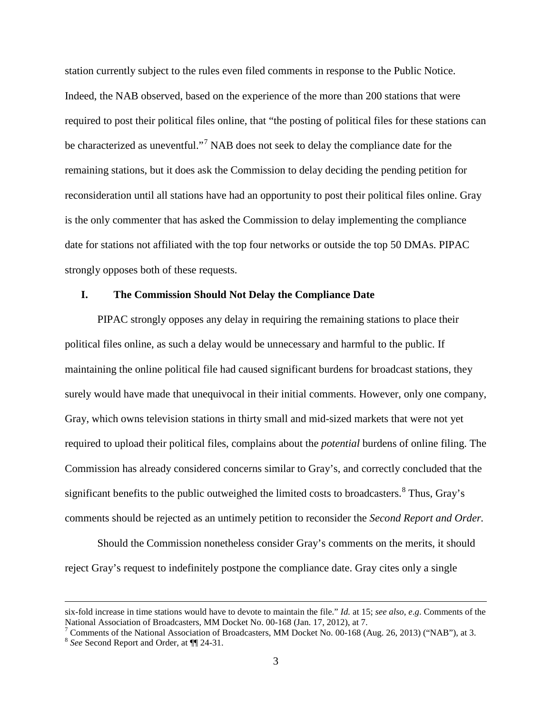station currently subject to the rules even filed comments in response to the Public Notice. Indeed, the NAB observed, based on the experience of the more than 200 stations that were required to post their political files online, that "the posting of political files for these stations can be characterized as uneventful."<sup>[7](#page-2-0)</sup> NAB does not seek to delay the compliance date for the remaining stations, but it does ask the Commission to delay deciding the pending petition for reconsideration until all stations have had an opportunity to post their political files online. Gray is the only commenter that has asked the Commission to delay implementing the compliance date for stations not affiliated with the top four networks or outside the top 50 DMAs. PIPAC strongly opposes both of these requests.

# **I. The Commission Should Not Delay the Compliance Date**

PIPAC strongly opposes any delay in requiring the remaining stations to place their political files online, as such a delay would be unnecessary and harmful to the public. If maintaining the online political file had caused significant burdens for broadcast stations, they surely would have made that unequivocal in their initial comments. However, only one company, Gray, which owns television stations in thirty small and mid-sized markets that were not yet required to upload their political files, complains about the *potential* burdens of online filing. The Commission has already considered concerns similar to Gray's, and correctly concluded that the significant benefits to the public outweighed the limited costs to broadcasters.<sup>[8](#page-2-1)</sup> Thus, Gray's comments should be rejected as an untimely petition to reconsider the *Second Report and Order.*

Should the Commission nonetheless consider Gray's comments on the merits, it should reject Gray's request to indefinitely postpone the compliance date. Gray cites only a single

 $\overline{a}$ 

six-fold increase in time stations would have to devote to maintain the file." *Id.* at 15; *see also*, *e*.*g*. Comments of the

<span id="page-2-1"></span><span id="page-2-0"></span>National Association of Broadcasters, MM Docket No. 00-168 (Jan. 17, 2012), at 7.<br>
<sup>7</sup> Comments of the National Association of Broadcasters, MM Docket No. 00-168 (Aug. 26, 2013) ("NAB"), at 3.<br>
<sup>8</sup> See Second Report and Or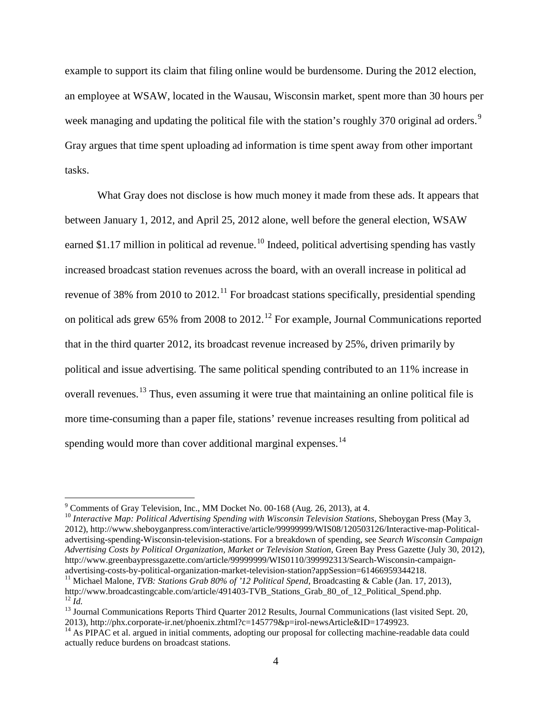example to support its claim that filing online would be burdensome. During the 2012 election, an employee at WSAW, located in the Wausau, Wisconsin market, spent more than 30 hours per week managing and updating the political file with the station's roughly 370 original ad orders.<sup>[9](#page-3-0)</sup> Gray argues that time spent uploading ad information is time spent away from other important tasks.

What Gray does not disclose is how much money it made from these ads. It appears that between January 1, 2012, and April 25, 2012 alone, well before the general election, WSAW earned \$1.17 million in political ad revenue.<sup>[10](#page-3-1)</sup> Indeed, political advertising spending has vastly increased broadcast station revenues across the board, with an overall increase in political ad revenue of 38% from 2010 to 2012.<sup>[11](#page-3-2)</sup> For broadcast stations specifically, presidential spending on political ads grew 65% from 2008 to  $2012<sup>12</sup>$  $2012<sup>12</sup>$  $2012<sup>12</sup>$  For example, Journal Communications reported that in the third quarter 2012, its broadcast revenue increased by 25%, driven primarily by political and issue advertising. The same political spending contributed to an 11% increase in overall revenues.<sup>[13](#page-3-4)</sup> Thus, even assuming it were true that maintaining an online political file is more time-consuming than a paper file, stations' revenue increases resulting from political ad spending would more than cover additional marginal expenses.<sup>[14](#page-3-5)</sup>

<span id="page-3-1"></span><span id="page-3-0"></span><sup>&</sup>lt;sup>9</sup> Comments of Gray Television, Inc., MM Docket No. 00-168 (Aug. 26, 2013), at 4.<br><sup>10</sup> *Interactive Map: Political Advertising Spending with Wisconsin Television Stations*, Sheboygan Press (May 3, 2012), http://www.sheboyganpress.com/interactive/article/99999999/WIS08/120503126/Interactive-map-Politicaladvertising-spending-Wisconsin-television-stations. For a breakdown of spending, see *Search Wisconsin Campaign Advertising Costs by Political Organization, Market or Television Station*, Green Bay Press Gazette (July 30, 2012), http://www.greenbaypressgazette.com/article/99999999/WIS0110/399992313/Search-Wisconsin-campaign-<br>advertising-costs-by-political-organization-market-television-station?appSession=61466959344218.

<span id="page-3-2"></span><sup>&</sup>lt;sup>11</sup> Michael Malone, *TVB: Stations Grab 80% of '12 Political Spend*, Broadcasting & Cable (Jan. 17, 2013), http://www.broadcastingcable.com/article/491403-TVB Stations Grab 80 of 12 Political Spend.php. <sup>12</sup>  $\tilde{I}$ d.<br><sup>13</sup> Journal Communications Reports Third Quarter 2012 Results, Journal Communications (last visited Sept. 20,

<span id="page-3-4"></span><span id="page-3-3"></span><sup>2013),</sup> http://phx.corporate-ir.net/phoenix.zhtml?c=145779&p=irol-newsArticle&ID=1749923.<br><sup>14</sup> As PIPAC et al. argued in initial comments, adopting our proposal for collecting machine-readable data could

<span id="page-3-5"></span>actually reduce burdens on broadcast stations.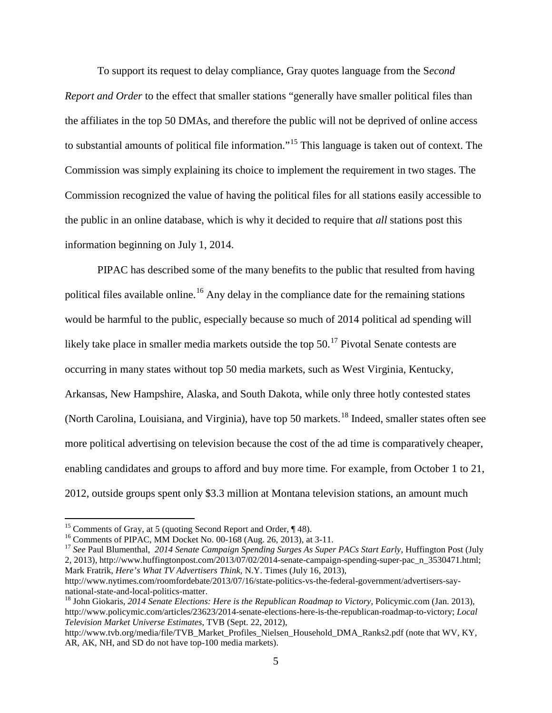To support its request to delay compliance, Gray quotes language from the S*econd Report and Order* to the effect that smaller stations "generally have smaller political files than the affiliates in the top 50 DMAs, and therefore the public will not be deprived of online access to substantial amounts of political file information."[15](#page-4-0) This language is taken out of context. The Commission was simply explaining its choice to implement the requirement in two stages. The Commission recognized the value of having the political files for all stations easily accessible to the public in an online database, which is why it decided to require that *all* stations post this information beginning on July 1, 2014.

PIPAC has described some of the many benefits to the public that resulted from having political files available online.<sup>[16](#page-4-1)</sup> Any delay in the compliance date for the remaining stations would be harmful to the public, especially because so much of 2014 political ad spending will likely take place in smaller media markets outside the top  $50<sup>17</sup>$  $50<sup>17</sup>$  $50<sup>17</sup>$  Pivotal Senate contests are occurring in many states without top 50 media markets, such as West Virginia, Kentucky, Arkansas, New Hampshire, Alaska, and South Dakota, while only three hotly contested states (North Carolina, Louisiana, and Virginia), have top 50 markets.<sup>[18](#page-4-3)</sup> Indeed, smaller states often see more political advertising on television because the cost of the ad time is comparatively cheaper, enabling candidates and groups to afford and buy more time. For example, from October 1 to 21, 2012, outside groups spent only \$3.3 million at Montana television stations, an amount much

<span id="page-4-2"></span><span id="page-4-1"></span>

<span id="page-4-0"></span><sup>&</sup>lt;sup>15</sup> Comments of Gray, at 5 (quoting Second Report and Order,  $\P$  48).<br><sup>16</sup> Comments of PIPAC, MM Docket No. 00-168 (Aug. 26, 2013), at 3-11.<br><sup>17</sup> See Paul Blumenthal, 2014 Senate Campaign Spending Surges As Super PACs St 2, 2013), http://www.huffingtonpost.com/2013/07/02/2014-senate-campaign-spending-super-pac\_n\_3530471.html; Mark Fratrik, *Here's What TV Advertisers Think,* N.Y. Times (July 16, 2013),

http://www.nytimes.com/roomfordebate/2013/07/16/state-politics-vs-the-federal-government/advertisers-saynational-state-and-local-politics-matter.<br><sup>18</sup> John Giokaris, *2014 Senate Elections: Here is the Republican Roadmap to Victory*, Policymic.com (Jan. 2013),

<span id="page-4-3"></span>http://www.policymic.com/articles/23623/2014-senate-elections-here-is-the-republican-roadmap-to-victory; *Local Television Market Universe Estimates*, TVB (Sept. 22, 2012),

http://www.tvb.org/media/file/TVB\_Market\_Profiles\_Nielsen\_Household\_DMA\_Ranks2.pdf (note that WV, KY, AR, AK, NH, and SD do not have top-100 media markets).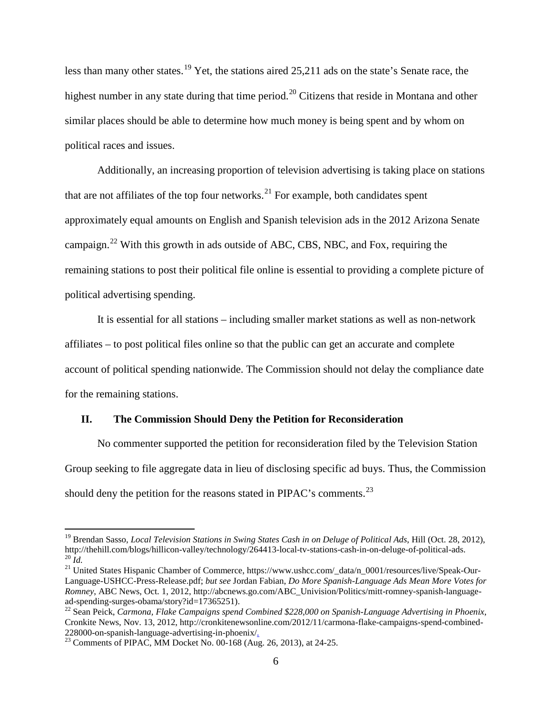less than many other states.<sup>[19](#page-5-0)</sup> Yet, the stations aired 25,211 ads on the state's Senate race, the highest number in any state during that time period.<sup>[20](#page-5-1)</sup> Citizens that reside in Montana and other similar places should be able to determine how much money is being spent and by whom on political races and issues.

Additionally, an increasing proportion of television advertising is taking place on stations that are not affiliates of the top four networks.<sup>[21](#page-5-2)</sup> For example, both candidates spent approximately equal amounts on English and Spanish television ads in the 2012 Arizona Senate campaign.[22](#page-5-3) With this growth in ads outside of ABC, CBS, NBC, and Fox, requiring the remaining stations to post their political file online is essential to providing a complete picture of political advertising spending.

It is essential for all stations – including smaller market stations as well as non-network affiliates – to post political files online so that the public can get an accurate and complete account of political spending nationwide. The Commission should not delay the compliance date for the remaining stations.

### **II. The Commission Should Deny the Petition for Reconsideration**

No commenter supported the petition for reconsideration filed by the Television Station Group seeking to file aggregate data in lieu of disclosing specific ad buys. Thus, the Commission should deny the petition for the reasons stated in PIPAC's comments.<sup>[23](#page-5-4)</sup>

<span id="page-5-0"></span><sup>&</sup>lt;sup>19</sup> Brendan Sasso, *Local Television Stations in Swing States Cash in on Deluge of Political Ads*, Hill (Oct. 28, 2012), http://thehill.com/blogs/hillicon-valley/technology/264413-local-tv-stations-cash-in-on-deluge-of-po  $^{20}$  *Id.*<br><sup>21</sup> United States Hispanic Chamber of Commerce, https://www.ushcc.com/\_data/n\_0001/resources/live/Speak-Our-

<span id="page-5-2"></span><span id="page-5-1"></span>Language-USHCC-Press-Release.pdf; *but see* Jordan Fabian, *Do More Spanish-Language Ads Mean More Votes for Romney*, ABC News, Oct. 1, 2012, http://abcnews.go.com/ABC\_Univision/Politics/mitt-romney-spanish-language-<br>ad-spending-surges-obama/story?id=17365251).

<span id="page-5-3"></span><sup>&</sup>lt;sup>22</sup> Sean Peick, *Carmona, Flake Campaigns spend Combined \$228,000 on Spanish-Language Advertising in Phoenix,* Cronkite News, Nov. 13, 2012, http://cronkitenewsonline.com/2012/11/carmona-flake-campaigns-spend-combined-

<span id="page-5-4"></span> $228000$ -on-spanish-language-advertising-in-phoenix-phoenix-phoenix-3<sup>23</sup> Comments of PIPAC, MM Docket No. 00-168 (Aug. 26, 2013), at 24-25.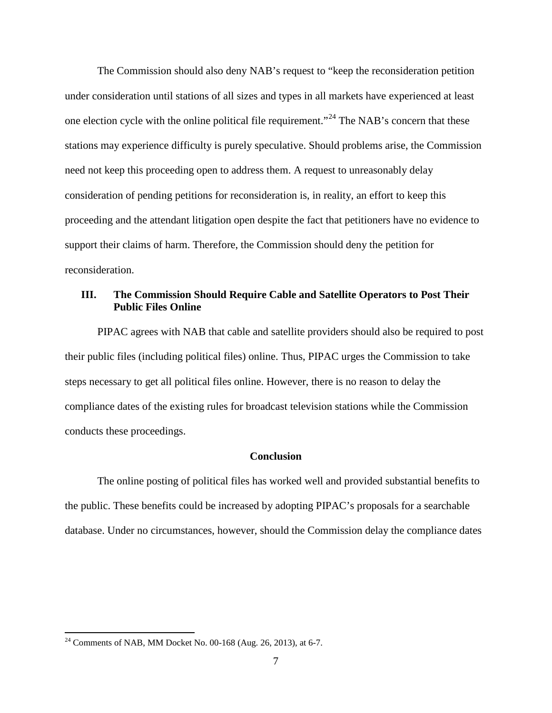The Commission should also deny NAB's request to "keep the reconsideration petition under consideration until stations of all sizes and types in all markets have experienced at least one election cycle with the online political file requirement."<sup>[24](#page-6-0)</sup> The NAB's concern that these stations may experience difficulty is purely speculative. Should problems arise, the Commission need not keep this proceeding open to address them. A request to unreasonably delay consideration of pending petitions for reconsideration is, in reality, an effort to keep this proceeding and the attendant litigation open despite the fact that petitioners have no evidence to support their claims of harm. Therefore, the Commission should deny the petition for reconsideration.

# **III. The Commission Should Require Cable and Satellite Operators to Post Their Public Files Online**

PIPAC agrees with NAB that cable and satellite providers should also be required to post their public files (including political files) online. Thus, PIPAC urges the Commission to take steps necessary to get all political files online. However, there is no reason to delay the compliance dates of the existing rules for broadcast television stations while the Commission conducts these proceedings.

### **Conclusion**

The online posting of political files has worked well and provided substantial benefits to the public. These benefits could be increased by adopting PIPAC's proposals for a searchable database. Under no circumstances, however, should the Commission delay the compliance dates

<span id="page-6-0"></span><sup>24</sup> Comments of NAB, MM Docket No. 00-168 (Aug. 26, 2013), at 6-7.